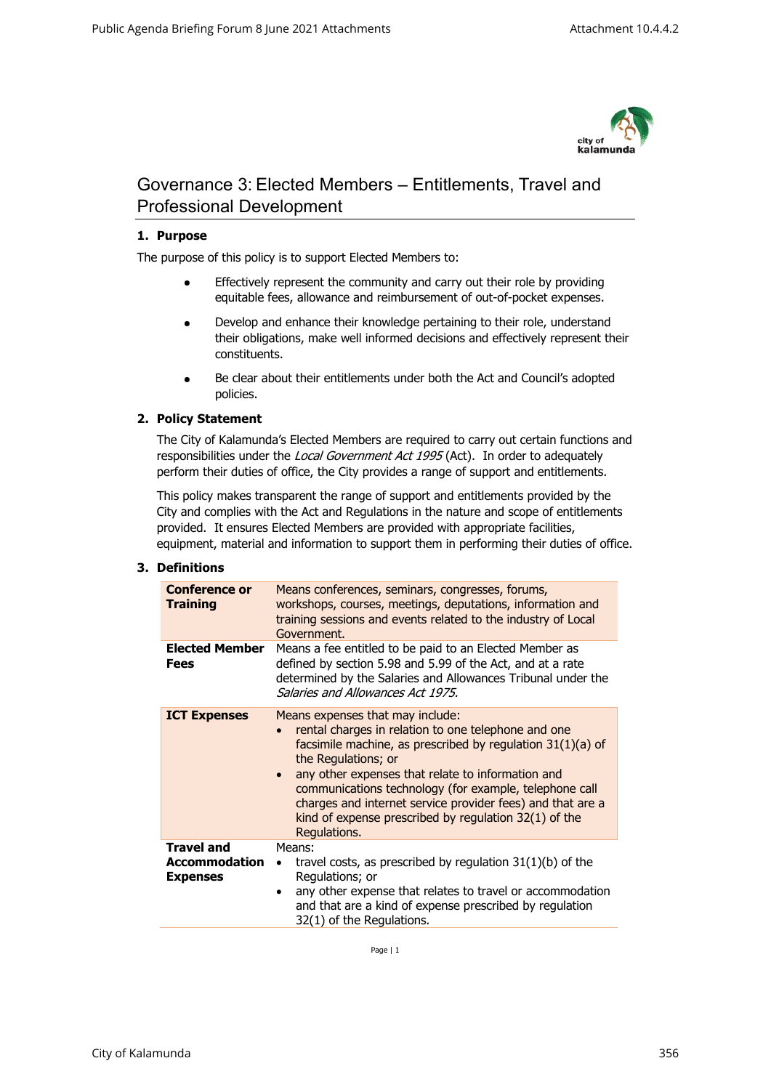

# Governance 3: Elected Members – Entitlements, Travel and Professional Development

# **1. Purpose**

The purpose of this policy is to support Elected Members to:

- Effectively represent the community and carry out their role by providing equitable fees, allowance and reimbursement of out-of-pocket expenses.
- Develop and enhance their knowledge pertaining to their role, understand their obligations, make well informed decisions and effectively represent their constituents.
- Be clear about their entitlements under both the Act and Council's adopted policies.

# **2. Policy Statement**

The City of Kalamunda's Elected Members are required to carry out certain functions and responsibilities under the Local Government Act 1995 (Act). In order to adequately perform their duties of office, the City provides a range of support and entitlements.

This policy makes transparent the range of support and entitlements provided by the City and complies with the Act and Regulations in the nature and scope of entitlements provided. It ensures Elected Members are provided with appropriate facilities, equipment, material and information to support them in performing their duties of office.

## **3. Definitions**

| <b>Conference or</b><br><b>Training</b>                      | Means conferences, seminars, congresses, forums,<br>workshops, courses, meetings, deputations, information and<br>training sessions and events related to the industry of Local<br>Government.                                                                                                                                                                                                                                                      |
|--------------------------------------------------------------|-----------------------------------------------------------------------------------------------------------------------------------------------------------------------------------------------------------------------------------------------------------------------------------------------------------------------------------------------------------------------------------------------------------------------------------------------------|
| <b>Elected Member</b><br>Fees                                | Means a fee entitled to be paid to an Elected Member as<br>defined by section 5.98 and 5.99 of the Act, and at a rate<br>determined by the Salaries and Allowances Tribunal under the<br>Salaries and Allowances Act 1975.                                                                                                                                                                                                                          |
| <b>ICT Expenses</b>                                          | Means expenses that may include:<br>rental charges in relation to one telephone and one<br>facsimile machine, as prescribed by regulation $31(1)(a)$ of<br>the Regulations; or<br>any other expenses that relate to information and<br>$\bullet$<br>communications technology (for example, telephone call<br>charges and internet service provider fees) and that are a<br>kind of expense prescribed by regulation $32(1)$ of the<br>Regulations. |
| <b>Travel and</b><br><b>Accommodation</b><br><b>Expenses</b> | Means:<br>travel costs, as prescribed by regulation $31(1)(b)$ of the<br>Regulations; or<br>any other expense that relates to travel or accommodation<br>$\bullet$<br>and that are a kind of expense prescribed by regulation<br>32(1) of the Regulations.                                                                                                                                                                                          |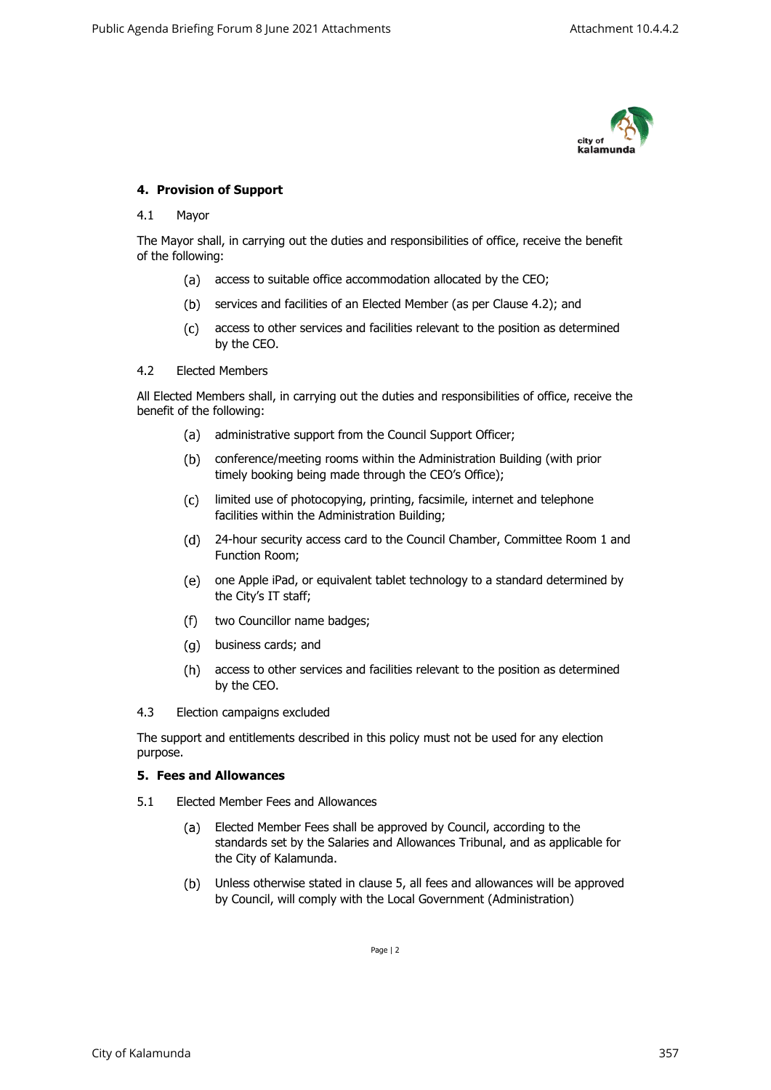

## **4. Provision of Support**

#### 4.1 Mayor

The Mayor shall, in carrying out the duties and responsibilities of office, receive the benefit of the following:

- (a) access to suitable office accommodation allocated by the CEO;
- (b) services and facilities of an Elected Member (as per Clause 4.2); and
- access to other services and facilities relevant to the position as determined by the CEO.

#### 4.2 Elected Members

All Elected Members shall, in carrying out the duties and responsibilities of office, receive the benefit of the following:

- (a) administrative support from the Council Support Officer;
- conference/meeting rooms within the Administration Building (with prior timely booking being made through the CEO's Office);
- $(c)$ limited use of photocopying, printing, facsimile, internet and telephone facilities within the Administration Building;
- 24-hour security access card to the Council Chamber, Committee Room 1 and Function Room;
- one Apple iPad, or equivalent tablet technology to a standard determined by the City's IT staff;
- $(f)$ two Councillor name badges;
- business cards; and
- access to other services and facilities relevant to the position as determined by the CEO.
- 4.3 Election campaigns excluded

The support and entitlements described in this policy must not be used for any election purpose.

#### **5. Fees and Allowances**

- 5.1 Elected Member Fees and Allowances
	- $(a)$ Elected Member Fees shall be approved by Council, according to the standards set by the Salaries and Allowances Tribunal, and as applicable for the City of Kalamunda.
	- $(b)$ Unless otherwise stated in clause 5, all fees and allowances will be approved by Council, will comply with the Local Government (Administration)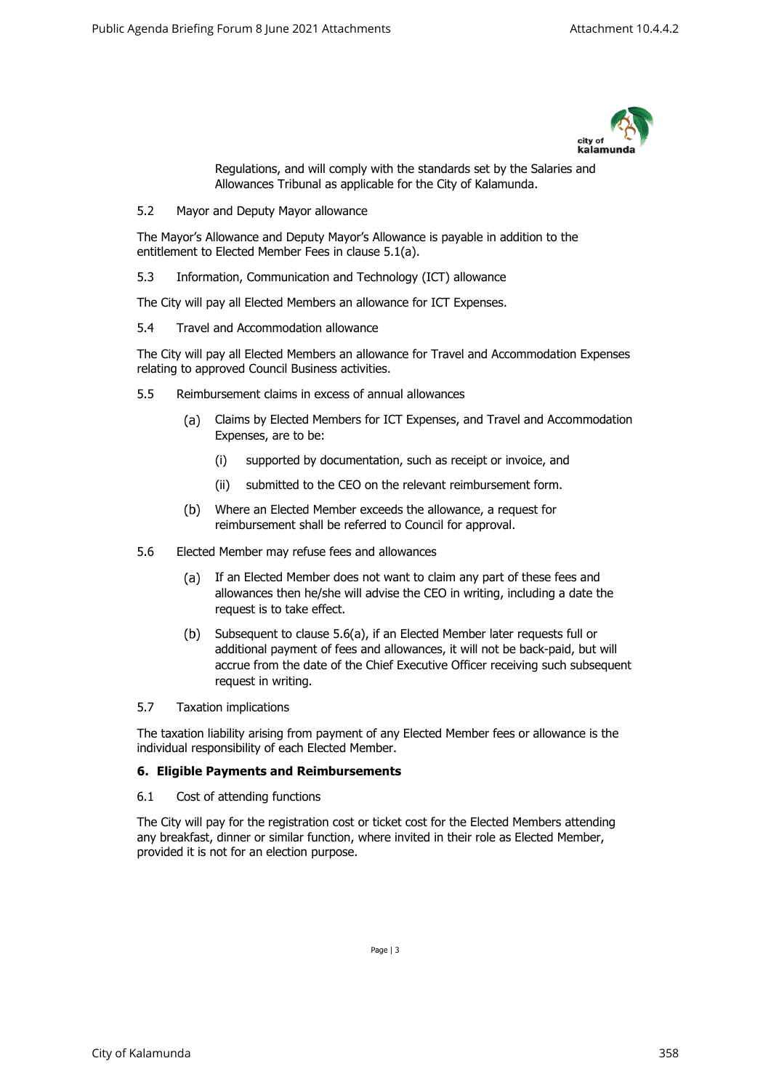

Regulations, and will comply with the standards set by the Salaries and Allowances Tribunal as applicable for the City of Kalamunda.

5.2 Mayor and Deputy Mayor allowance

The Mayor's Allowance and Deputy Mayor's Allowance is payable in addition to the entitlement to Elected Member Fees in clause 5.1(a).

5.3 Information, Communication and Technology (ICT) allowance

The City will pay all Elected Members an allowance for ICT Expenses.

5.4 Travel and Accommodation allowance

The City will pay all Elected Members an allowance for Travel and Accommodation Expenses relating to approved Council Business activities.

- 5.5 Reimbursement claims in excess of annual allowances
	- Claims by Elected Members for ICT Expenses, and Travel and Accommodation  $(a)$ Expenses, are to be:
		- (i) supported by documentation, such as receipt or invoice, and
		- (ii) submitted to the CEO on the relevant reimbursement form.
	- $(b)$ Where an Elected Member exceeds the allowance, a request for reimbursement shall be referred to Council for approval.
- 5.6 Elected Member may refuse fees and allowances
	- $(a)$ If an Elected Member does not want to claim any part of these fees and allowances then he/she will advise the CEO in writing, including a date the request is to take effect.
	- $(b)$ Subsequent to clause 5.6(a), if an Elected Member later requests full or additional payment of fees and allowances, it will not be back-paid, but will accrue from the date of the Chief Executive Officer receiving such subsequent request in writing.
- 5.7 Taxation implications

The taxation liability arising from payment of any Elected Member fees or allowance is the individual responsibility of each Elected Member.

# **6. Eligible Payments and Reimbursements**

6.1 Cost of attending functions

The City will pay for the registration cost or ticket cost for the Elected Members attending any breakfast, dinner or similar function, where invited in their role as Elected Member, provided it is not for an election purpose.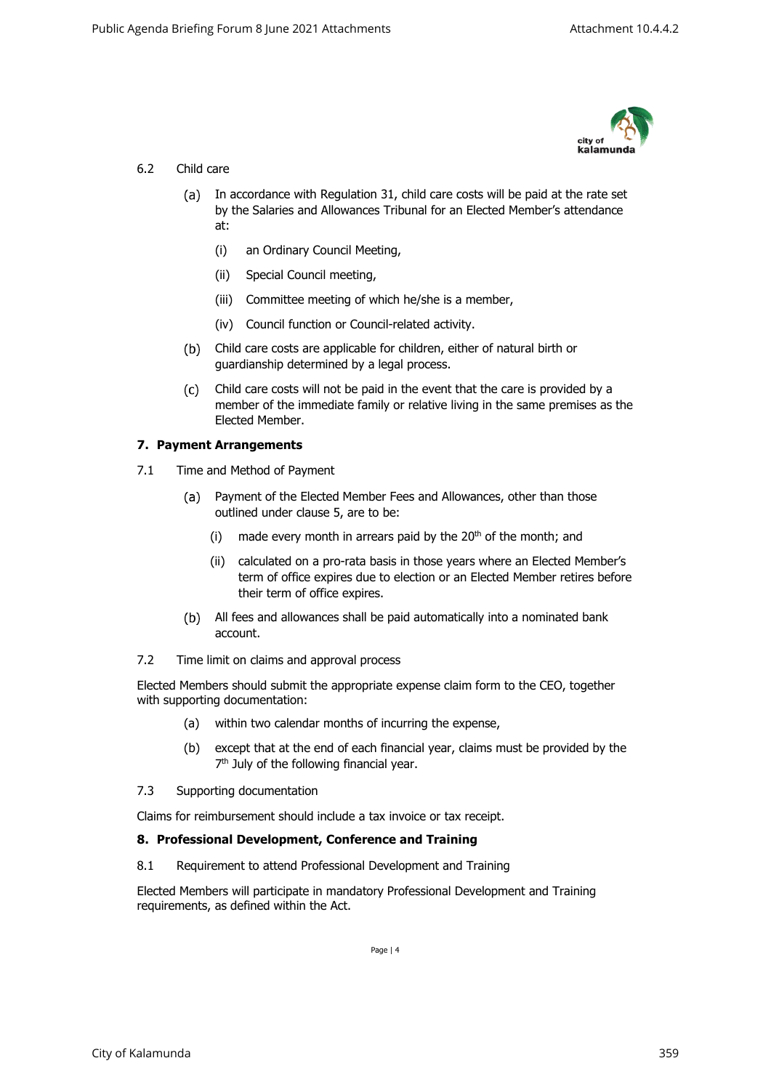

# 6.2 Child care

- (a) In accordance with Regulation 31, child care costs will be paid at the rate set by the Salaries and Allowances Tribunal for an Elected Member's attendance at:
	- (i) an Ordinary Council Meeting,
	- (ii) Special Council meeting,
	- (iii) Committee meeting of which he/she is a member,
	- (iv) Council function or Council-related activity.
- Child care costs are applicable for children, either of natural birth or guardianship determined by a legal process.
- Child care costs will not be paid in the event that the care is provided by a  $(c)$ member of the immediate family or relative living in the same premises as the Elected Member.

# **7. Payment Arrangements**

- 7.1 Time and Method of Payment
	- Payment of the Elected Member Fees and Allowances, other than those (a) outlined under clause 5, are to be:
		- (i) made every month in arrears paid by the  $20<sup>th</sup>$  of the month; and
		- (ii) calculated on a pro-rata basis in those years where an Elected Member's term of office expires due to election or an Elected Member retires before their term of office expires.
	- All fees and allowances shall be paid automatically into a nominated bank account.
- 7.2 Time limit on claims and approval process

Elected Members should submit the appropriate expense claim form to the CEO, together with supporting documentation:

- (a) within two calendar months of incurring the expense,
- (b) except that at the end of each financial year, claims must be provided by the 7<sup>th</sup> July of the following financial year.
- 7.3 Supporting documentation

Claims for reimbursement should include a tax invoice or tax receipt.

## **8. Professional Development, Conference and Training**

8.1 Requirement to attend Professional Development and Training

<span id="page-3-0"></span>Elected Members will participate in mandatory Professional Development and Training requirements, as defined within the Act.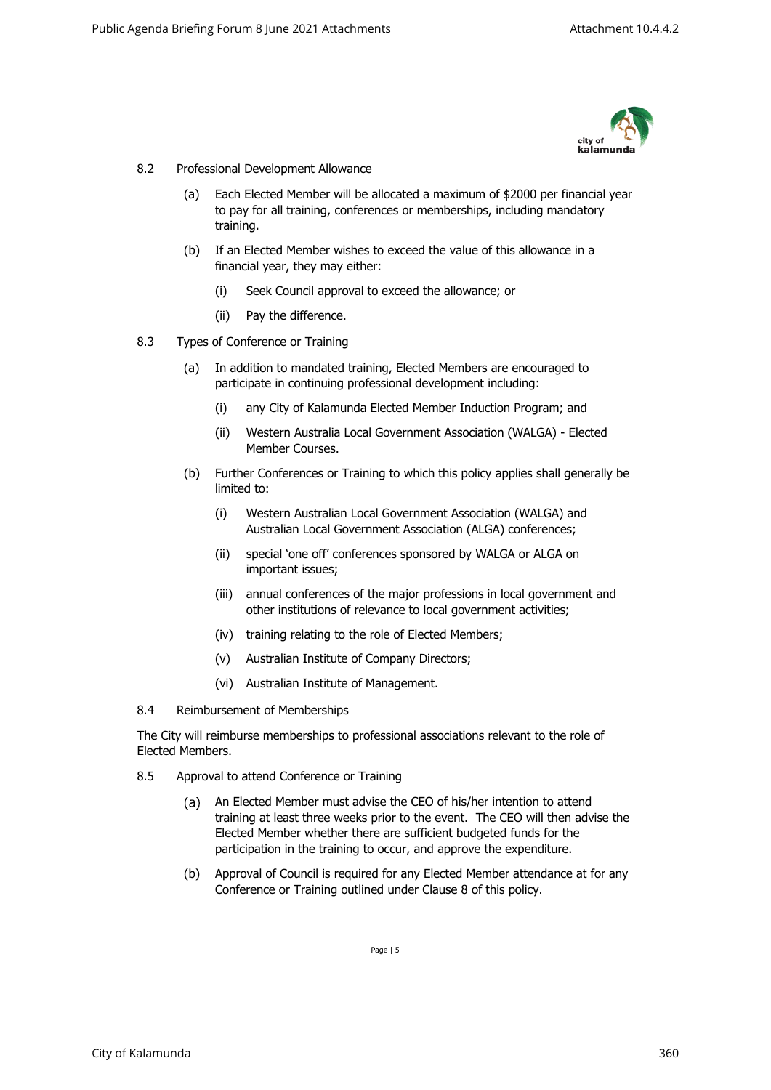

- 8.2 Professional Development Allowance
	- (a) Each Elected Member will be allocated a maximum of \$2000 per financial year to pay for all training, conferences or memberships, including mandatory training.
	- (b) If an Elected Member wishes to exceed the value of this allowance in a financial year, they may either:
		- (i) Seek Council approval to exceed the allowance; or
		- (ii) Pay the difference.
- 8.3 Types of Conference or Training
	- (a) In addition to mandated training, Elected Members are encouraged to participate in continuing professional development including:
		- (i) any City of Kalamunda Elected Member Induction Program; and
		- (ii) Western Australia Local Government Association (WALGA) Elected Member Courses.
	- (b) Further Conferences or Training to which this policy applies shall generally be limited to:
		- (i) Western Australian Local Government Association (WALGA) and Australian Local Government Association (ALGA) conferences;
		- (ii) special 'one off' conferences sponsored by WALGA or ALGA on important issues;
		- (iii) annual conferences of the major professions in local government and other institutions of relevance to local government activities;
		- (iv) training relating to the role of Elected Members;
		- (v) Australian Institute of Company Directors;
		- (vi) Australian Institute of Management.
- 8.4 Reimbursement of Memberships

The City will reimburse memberships to professional associations relevant to the role of Elected Members.

- 8.5 Approval to attend Conference or Training
	- $(a)$ An Elected Member must advise the CEO of his/her intention to attend training at least three weeks prior to the event. The CEO will then advise the Elected Member whether there are sufficient budgeted funds for the participation in the training to occur, and approve the expenditure.
	- (b) Approval of Council is required for any Elected Member attendance at for any Conference or Training outlined under Clause [8](#page-3-0) of this policy.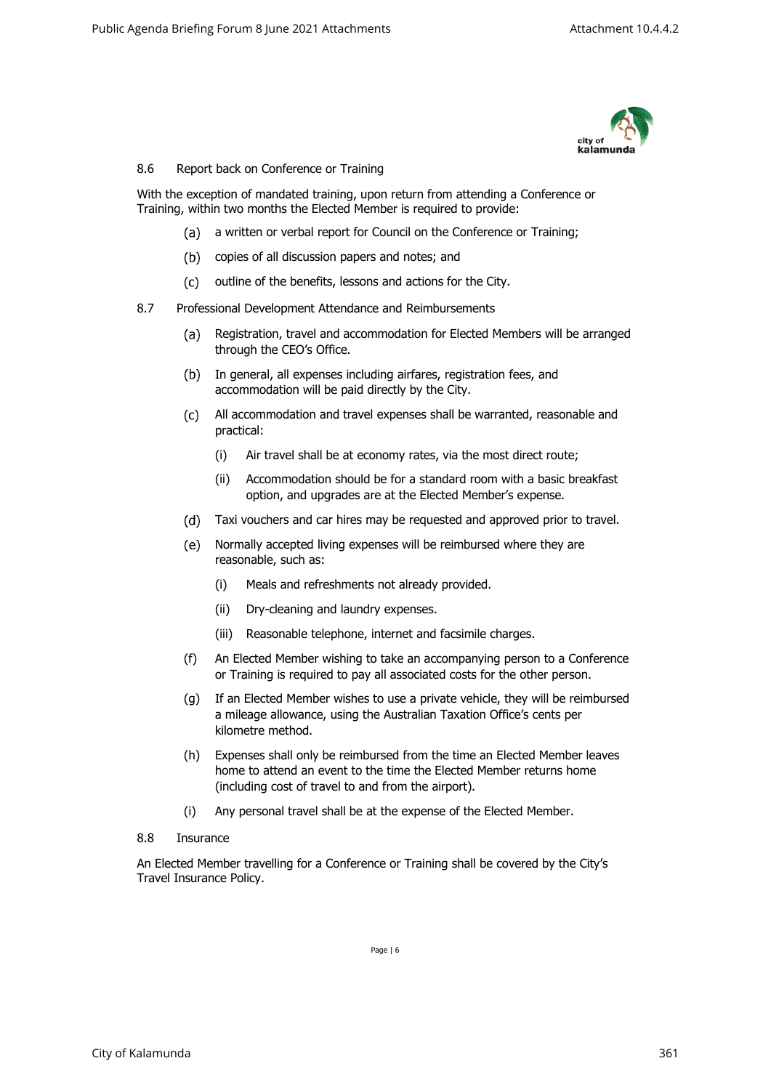

## 8.6 Report back on Conference or Training

With the exception of mandated training, upon return from attending a Conference or Training, within two months the Elected Member is required to provide:

- (a) a written or verbal report for Council on the Conference or Training;
- (b) copies of all discussion papers and notes; and
- (c) outline of the benefits, lessons and actions for the City.
- 8.7 Professional Development Attendance and Reimbursements
	- Registration, travel and accommodation for Elected Members will be arranged  $(a)$ through the CEO's Office.
	- (b) In general, all expenses including airfares, registration fees, and accommodation will be paid directly by the City.
	- All accommodation and travel expenses shall be warranted, reasonable and practical:
		- (i) Air travel shall be at economy rates, via the most direct route;
		- (ii) Accommodation should be for a standard room with a basic breakfast option, and upgrades are at the Elected Member's expense.
	- Taxi vouchers and car hires may be requested and approved prior to travel.
	- $(e)$ Normally accepted living expenses will be reimbursed where they are reasonable, such as:
		- (i) Meals and refreshments not already provided.
		- (ii) Dry-cleaning and laundry expenses.
		- (iii) Reasonable telephone, internet and facsimile charges.
	- (f) An Elected Member wishing to take an accompanying person to a Conference or Training is required to pay all associated costs for the other person.
	- (g) If an Elected Member wishes to use a private vehicle, they will be reimbursed a mileage allowance, using the Australian Taxation Office's cents per kilometre method.
	- (h) Expenses shall only be reimbursed from the time an Elected Member leaves home to attend an event to the time the Elected Member returns home (including cost of travel to and from the airport).
	- (i) Any personal travel shall be at the expense of the Elected Member.
- 8.8 Insurance

An Elected Member travelling for a Conference or Training shall be covered by the City's Travel Insurance Policy.